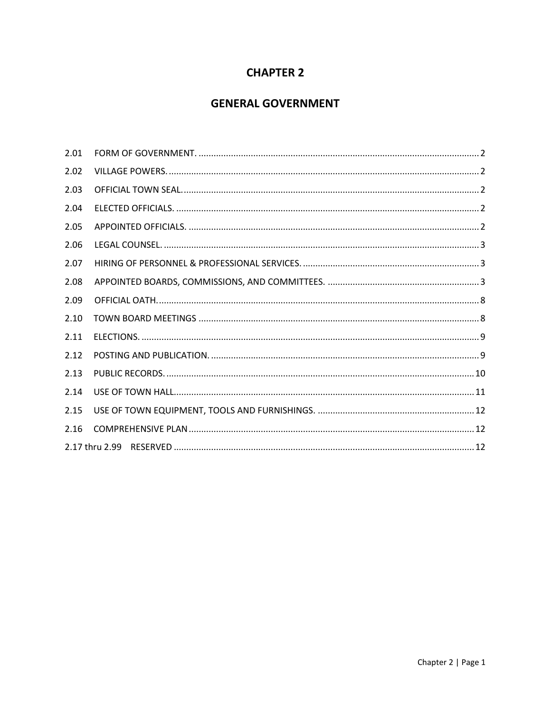# **CHAPTER 2**

# **GENERAL GOVERNMENT**

| 2.01 |  |
|------|--|
| 2.02 |  |
| 2.03 |  |
| 2.04 |  |
| 2.05 |  |
| 2.06 |  |
| 2.07 |  |
| 2.08 |  |
| 2.09 |  |
| 2.10 |  |
| 2.11 |  |
| 2.12 |  |
| 2.13 |  |
| 2.14 |  |
| 2.15 |  |
| 2.16 |  |
|      |  |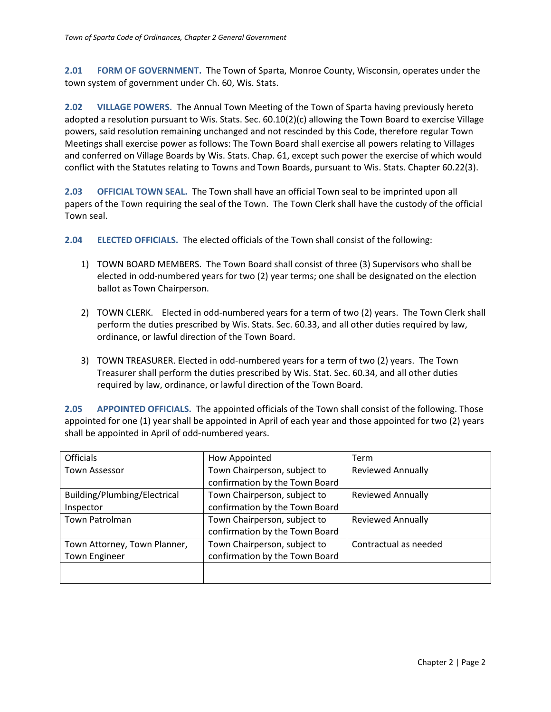<span id="page-1-0"></span>**2.01 FORM OF GOVERNMENT.** The Town of Sparta, Monroe County, Wisconsin, operates under the town system of government under Ch. 60, Wis. Stats.

<span id="page-1-1"></span>**2.02 VILLAGE POWERS.** The Annual Town Meeting of the Town of Sparta having previously hereto adopted a resolution pursuant to Wis. Stats. Sec. 60.10(2)(c) allowing the Town Board to exercise Village powers, said resolution remaining unchanged and not rescinded by this Code, therefore regular Town Meetings shall exercise power as follows: The Town Board shall exercise all powers relating to Villages and conferred on Village Boards by Wis. Stats. Chap. 61, except such power the exercise of which would conflict with the Statutes relating to Towns and Town Boards, pursuant to Wis. Stats. Chapter 60.22(3).

<span id="page-1-2"></span>**2.03 OFFICIAL TOWN SEAL.** The Town shall have an official Town seal to be imprinted upon all papers of the Town requiring the seal of the Town. The Town Clerk shall have the custody of the official Town seal.

<span id="page-1-3"></span>**2.04 ELECTED OFFICIALS.** The elected officials of the Town shall consist of the following:

- 1) TOWN BOARD MEMBERS. The Town Board shall consist of three (3) Supervisors who shall be elected in odd-numbered years for two (2) year terms; one shall be designated on the election ballot as Town Chairperson.
- 2) TOWN CLERK. Elected in odd-numbered years for a term of two (2) years. The Town Clerk shall perform the duties prescribed by Wis. Stats. Sec. 60.33, and all other duties required by law, ordinance, or lawful direction of the Town Board.
- 3) TOWN TREASURER. Elected in odd-numbered years for a term of two (2) years. The Town Treasurer shall perform the duties prescribed by Wis. Stat. Sec. 60.34, and all other duties required by law, ordinance, or lawful direction of the Town Board.

<span id="page-1-4"></span>**2.05 APPOINTED OFFICIALS.** The appointed officials of the Town shall consist of the following. Those appointed for one (1) year shall be appointed in April of each year and those appointed for two (2) years shall be appointed in April of odd-numbered years.

| <b>Officials</b>             | How Appointed                  | Term                     |
|------------------------------|--------------------------------|--------------------------|
| <b>Town Assessor</b>         | Town Chairperson, subject to   | <b>Reviewed Annually</b> |
|                              | confirmation by the Town Board |                          |
| Building/Plumbing/Electrical | Town Chairperson, subject to   | <b>Reviewed Annually</b> |
| Inspector                    | confirmation by the Town Board |                          |
| Town Patrolman               | Town Chairperson, subject to   | <b>Reviewed Annually</b> |
|                              | confirmation by the Town Board |                          |
| Town Attorney, Town Planner, | Town Chairperson, subject to   | Contractual as needed    |
| <b>Town Engineer</b>         | confirmation by the Town Board |                          |
|                              |                                |                          |
|                              |                                |                          |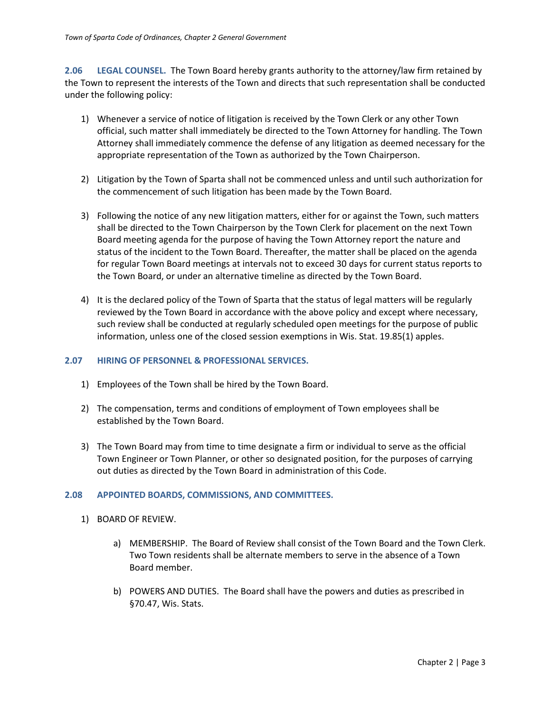<span id="page-2-0"></span>**2.06 LEGAL COUNSEL.** The Town Board hereby grants authority to the attorney/law firm retained by the Town to represent the interests of the Town and directs that such representation shall be conducted under the following policy:

- 1) Whenever a service of notice of litigation is received by the Town Clerk or any other Town official, such matter shall immediately be directed to the Town Attorney for handling. The Town Attorney shall immediately commence the defense of any litigation as deemed necessary for the appropriate representation of the Town as authorized by the Town Chairperson.
- 2) Litigation by the Town of Sparta shall not be commenced unless and until such authorization for the commencement of such litigation has been made by the Town Board.
- 3) Following the notice of any new litigation matters, either for or against the Town, such matters shall be directed to the Town Chairperson by the Town Clerk for placement on the next Town Board meeting agenda for the purpose of having the Town Attorney report the nature and status of the incident to the Town Board. Thereafter, the matter shall be placed on the agenda for regular Town Board meetings at intervals not to exceed 30 days for current status reports to the Town Board, or under an alternative timeline as directed by the Town Board.
- 4) It is the declared policy of the Town of Sparta that the status of legal matters will be regularly reviewed by the Town Board in accordance with the above policy and except where necessary, such review shall be conducted at regularly scheduled open meetings for the purpose of public information, unless one of the closed session exemptions in Wis. Stat. 19.85(1) apples.

#### <span id="page-2-1"></span>**2.07 HIRING OF PERSONNEL & PROFESSIONAL SERVICES.**

- 1) Employees of the Town shall be hired by the Town Board.
- 2) The compensation, terms and conditions of employment of Town employees shall be established by the Town Board.
- 3) The Town Board may from time to time designate a firm or individual to serve as the official Town Engineer or Town Planner, or other so designated position, for the purposes of carrying out duties as directed by the Town Board in administration of this Code.

#### <span id="page-2-2"></span>**2.08 APPOINTED BOARDS, COMMISSIONS, AND COMMITTEES.**

- 1) BOARD OF REVIEW.
	- a) MEMBERSHIP. The Board of Review shall consist of the Town Board and the Town Clerk. Two Town residents shall be alternate members to serve in the absence of a Town Board member.
	- b) POWERS AND DUTIES. The Board shall have the powers and duties as prescribed in §70.47, Wis. Stats.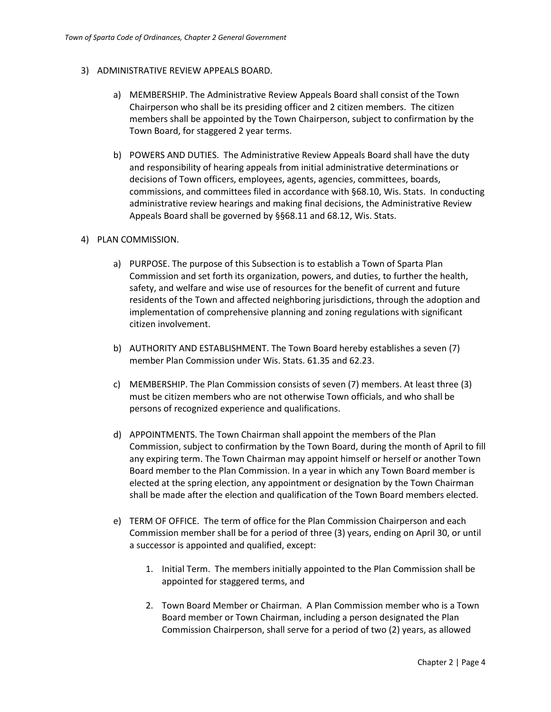### 3) ADMINISTRATIVE REVIEW APPEALS BOARD.

- a) MEMBERSHIP. The Administrative Review Appeals Board shall consist of the Town Chairperson who shall be its presiding officer and 2 citizen members. The citizen members shall be appointed by the Town Chairperson, subject to confirmation by the Town Board, for staggered 2 year terms.
- b) POWERS AND DUTIES. The Administrative Review Appeals Board shall have the duty and responsibility of hearing appeals from initial administrative determinations or decisions of Town officers, employees, agents, agencies, committees, boards, commissions, and committees filed in accordance with §68.10, Wis. Stats. In conducting administrative review hearings and making final decisions, the Administrative Review Appeals Board shall be governed by §§68.11 and 68.12, Wis. Stats.

## 4) PLAN COMMISSION.

- a) PURPOSE. The purpose of this Subsection is to establish a Town of Sparta Plan Commission and set forth its organization, powers, and duties, to further the health, safety, and welfare and wise use of resources for the benefit of current and future residents of the Town and affected neighboring jurisdictions, through the adoption and implementation of comprehensive planning and zoning regulations with significant citizen involvement.
- b) AUTHORITY AND ESTABLISHMENT. The Town Board hereby establishes a seven (7) member Plan Commission under Wis. Stats. 61.35 and 62.23.
- c) MEMBERSHIP. The Plan Commission consists of seven (7) members. At least three (3) must be citizen members who are not otherwise Town officials, and who shall be persons of recognized experience and qualifications.
- d) APPOINTMENTS. The Town Chairman shall appoint the members of the Plan Commission, subject to confirmation by the Town Board, during the month of April to fill any expiring term. The Town Chairman may appoint himself or herself or another Town Board member to the Plan Commission. In a year in which any Town Board member is elected at the spring election, any appointment or designation by the Town Chairman shall be made after the election and qualification of the Town Board members elected.
- e) TERM OF OFFICE. The term of office for the Plan Commission Chairperson and each Commission member shall be for a period of three (3) years, ending on April 30, or until a successor is appointed and qualified, except:
	- 1. Initial Term. The members initially appointed to the Plan Commission shall be appointed for staggered terms, and
	- 2. Town Board Member or Chairman. A Plan Commission member who is a Town Board member or Town Chairman, including a person designated the Plan Commission Chairperson, shall serve for a period of two (2) years, as allowed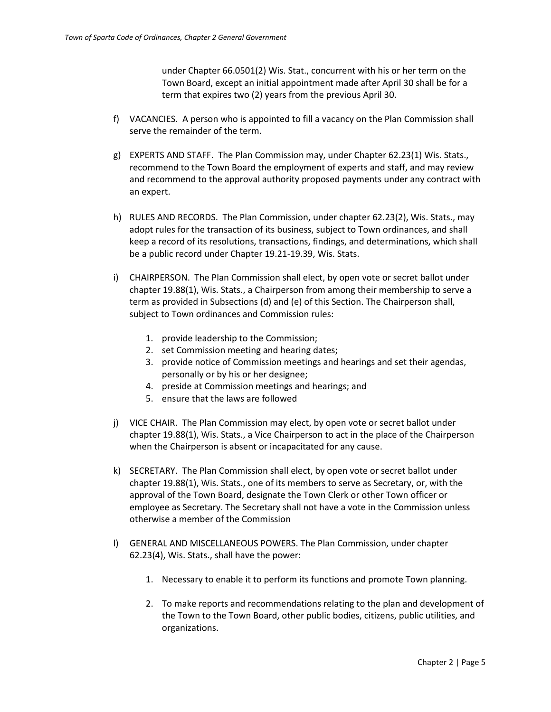under Chapter 66.0501(2) Wis. Stat., concurrent with his or her term on the Town Board, except an initial appointment made after April 30 shall be for a term that expires two (2) years from the previous April 30.

- f) VACANCIES. A person who is appointed to fill a vacancy on the Plan Commission shall serve the remainder of the term.
- g) EXPERTS AND STAFF. The Plan Commission may, under Chapter 62.23(1) Wis. Stats., recommend to the Town Board the employment of experts and staff, and may review and recommend to the approval authority proposed payments under any contract with an expert.
- h) RULES AND RECORDS. The Plan Commission, under chapter 62.23(2), Wis. Stats., may adopt rules for the transaction of its business, subject to Town ordinances, and shall keep a record of its resolutions, transactions, findings, and determinations, which shall be a public record under Chapter 19.21-19.39, Wis. Stats.
- i) CHAIRPERSON. The Plan Commission shall elect, by open vote or secret ballot under chapter 19.88(1), Wis. Stats., a Chairperson from among their membership to serve a term as provided in Subsections (d) and (e) of this Section. The Chairperson shall, subject to Town ordinances and Commission rules:
	- 1. provide leadership to the Commission;
	- 2. set Commission meeting and hearing dates;
	- 3. provide notice of Commission meetings and hearings and set their agendas, personally or by his or her designee;
	- 4. preside at Commission meetings and hearings; and
	- 5. ensure that the laws are followed
- j) VICE CHAIR. The Plan Commission may elect, by open vote or secret ballot under chapter 19.88(1), Wis. Stats., a Vice Chairperson to act in the place of the Chairperson when the Chairperson is absent or incapacitated for any cause.
- k) SECRETARY. The Plan Commission shall elect, by open vote or secret ballot under chapter 19.88(1), Wis. Stats., one of its members to serve as Secretary, or, with the approval of the Town Board, designate the Town Clerk or other Town officer or employee as Secretary. The Secretary shall not have a vote in the Commission unless otherwise a member of the Commission
- l) GENERAL AND MISCELLANEOUS POWERS. The Plan Commission, under chapter 62.23(4), Wis. Stats., shall have the power:
	- 1. Necessary to enable it to perform its functions and promote Town planning.
	- 2. To make reports and recommendations relating to the plan and development of the Town to the Town Board, other public bodies, citizens, public utilities, and organizations.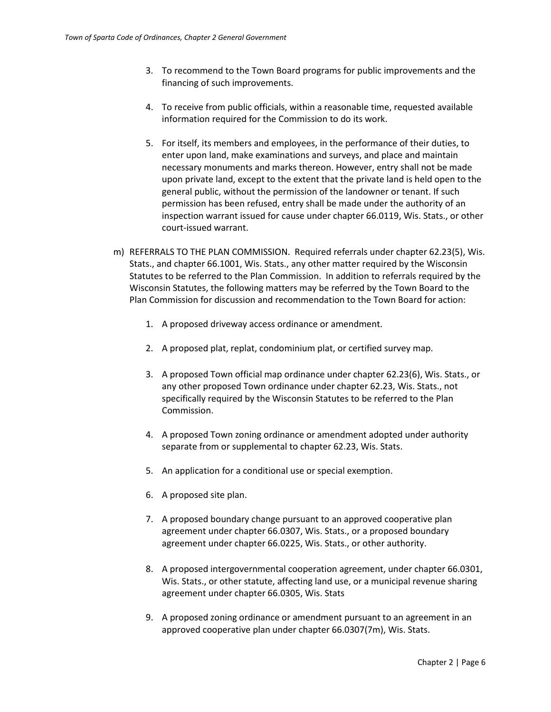- 3. To recommend to the Town Board programs for public improvements and the financing of such improvements.
- 4. To receive from public officials, within a reasonable time, requested available information required for the Commission to do its work.
- 5. For itself, its members and employees, in the performance of their duties, to enter upon land, make examinations and surveys, and place and maintain necessary monuments and marks thereon. However, entry shall not be made upon private land, except to the extent that the private land is held open to the general public, without the permission of the landowner or tenant. If such permission has been refused, entry shall be made under the authority of an inspection warrant issued for cause under chapter 66.0119, Wis. Stats., or other court-issued warrant.
- m) REFERRALS TO THE PLAN COMMISSION. Required referrals under chapter 62.23(5), Wis. Stats., and chapter 66.1001, Wis. Stats., any other matter required by the Wisconsin Statutes to be referred to the Plan Commission. In addition to referrals required by the Wisconsin Statutes, the following matters may be referred by the Town Board to the Plan Commission for discussion and recommendation to the Town Board for action:
	- 1. A proposed driveway access ordinance or amendment.
	- 2. A proposed plat, replat, condominium plat, or certified survey map.
	- 3. A proposed Town official map ordinance under chapter 62.23(6), Wis. Stats., or any other proposed Town ordinance under chapter 62.23, Wis. Stats., not specifically required by the Wisconsin Statutes to be referred to the Plan Commission.
	- 4. A proposed Town zoning ordinance or amendment adopted under authority separate from or supplemental to chapter 62.23, Wis. Stats.
	- 5. An application for a conditional use or special exemption.
	- 6. A proposed site plan.
	- 7. A proposed boundary change pursuant to an approved cooperative plan agreement under chapter 66.0307, Wis. Stats., or a proposed boundary agreement under chapter 66.0225, Wis. Stats., or other authority.
	- 8. A proposed intergovernmental cooperation agreement, under chapter 66.0301, Wis. Stats., or other statute, affecting land use, or a municipal revenue sharing agreement under chapter 66.0305, Wis. Stats
	- 9. A proposed zoning ordinance or amendment pursuant to an agreement in an approved cooperative plan under chapter 66.0307(7m), Wis. Stats.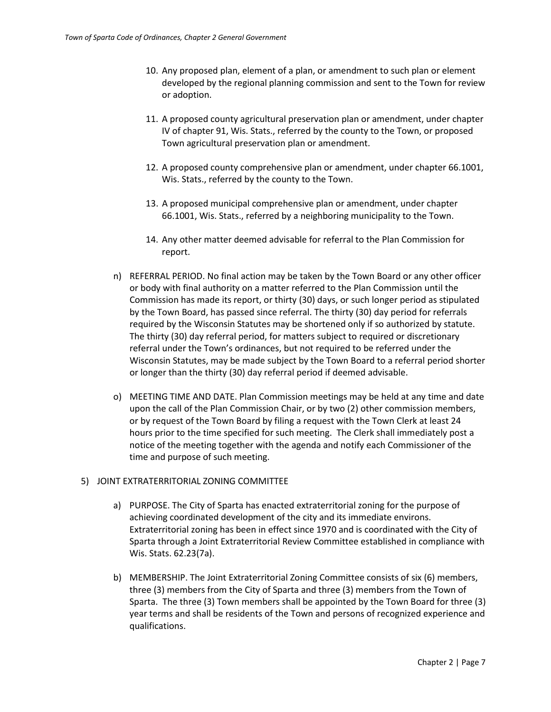- 10. Any proposed plan, element of a plan, or amendment to such plan or element developed by the regional planning commission and sent to the Town for review or adoption.
- 11. A proposed county agricultural preservation plan or amendment, under chapter IV of chapter 91, Wis. Stats., referred by the county to the Town, or proposed Town agricultural preservation plan or amendment.
- 12. A proposed county comprehensive plan or amendment, under chapter 66.1001, Wis. Stats., referred by the county to the Town.
- 13. A proposed municipal comprehensive plan or amendment, under chapter 66.1001, Wis. Stats., referred by a neighboring municipality to the Town.
- 14. Any other matter deemed advisable for referral to the Plan Commission for report.
- n) REFERRAL PERIOD. No final action may be taken by the Town Board or any other officer or body with final authority on a matter referred to the Plan Commission until the Commission has made its report, or thirty (30) days, or such longer period as stipulated by the Town Board, has passed since referral. The thirty (30) day period for referrals required by the Wisconsin Statutes may be shortened only if so authorized by statute. The thirty (30) day referral period, for matters subject to required or discretionary referral under the Town's ordinances, but not required to be referred under the Wisconsin Statutes, may be made subject by the Town Board to a referral period shorter or longer than the thirty (30) day referral period if deemed advisable.
- o) MEETING TIME AND DATE. Plan Commission meetings may be held at any time and date upon the call of the Plan Commission Chair, or by two (2) other commission members, or by request of the Town Board by filing a request with the Town Clerk at least 24 hours prior to the time specified for such meeting. The Clerk shall immediately post a notice of the meeting together with the agenda and notify each Commissioner of the time and purpose of such meeting.

#### 5) JOINT EXTRATERRITORIAL ZONING COMMITTEE

- a) PURPOSE. The City of Sparta has enacted extraterritorial zoning for the purpose of achieving coordinated development of the city and its immediate environs. Extraterritorial zoning has been in effect since 1970 and is coordinated with the City of Sparta through a Joint Extraterritorial Review Committee established in compliance with Wis. Stats. 62.23(7a).
- b) MEMBERSHIP. The Joint Extraterritorial Zoning Committee consists of six (6) members, three (3) members from the City of Sparta and three (3) members from the Town of Sparta. The three (3) Town members shall be appointed by the Town Board for three (3) year terms and shall be residents of the Town and persons of recognized experience and qualifications.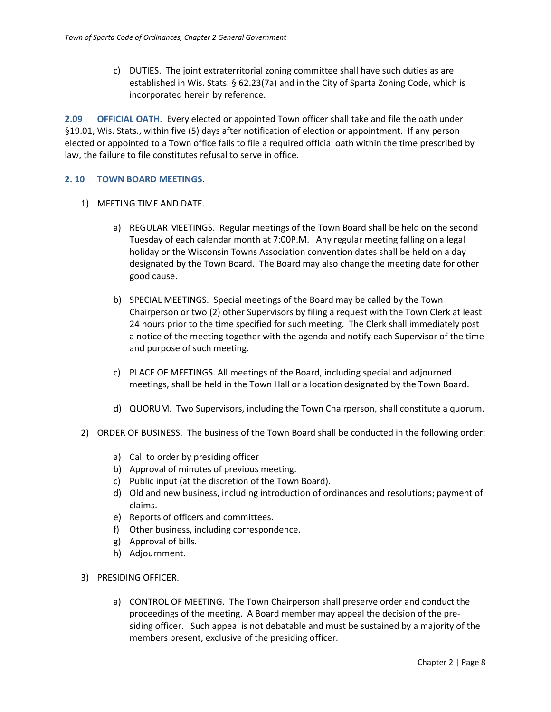c) DUTIES. The joint extraterritorial zoning committee shall have such duties as are established in Wis. Stats. § 62.23(7a) and in the City of Sparta Zoning Code, which is incorporated herein by reference.

<span id="page-7-0"></span>**2.09 OFFICIAL OATH.** Every elected or appointed Town officer shall take and file the oath under §19.01, Wis. Stats., within five (5) days after notification of election or appointment. If any person elected or appointed to a Town office fails to file a required official oath within the time prescribed by law, the failure to file constitutes refusal to serve in office.

#### <span id="page-7-1"></span>**2. 10 TOWN BOARD MEETINGS**.

- 1) MEETING TIME AND DATE.
	- a) REGULAR MEETINGS. Regular meetings of the Town Board shall be held on the second Tuesday of each calendar month at 7:00P.M. Any regular meeting falling on a legal holiday or the Wisconsin Towns Association convention dates shall be held on a day designated by the Town Board. The Board may also change the meeting date for other good cause.
	- b) SPECIAL MEETINGS. Special meetings of the Board may be called by the Town Chairperson or two (2) other Supervisors by filing a request with the Town Clerk at least 24 hours prior to the time specified for such meeting. The Clerk shall immediately post a notice of the meeting together with the agenda and notify each Supervisor of the time and purpose of such meeting.
	- c) PLACE OF MEETINGS. All meetings of the Board, including special and adjourned meetings, shall be held in the Town Hall or a location designated by the Town Board.
	- d) QUORUM. Two Supervisors, including the Town Chairperson, shall constitute a quorum.
- 2) ORDER OF BUSINESS. The business of the Town Board shall be conducted in the following order:
	- a) Call to order by presiding officer
	- b) Approval of minutes of previous meeting.
	- c) Public input (at the discretion of the Town Board).
	- d) Old and new business, including introduction of ordinances and resolutions; payment of claims.
	- e) Reports of officers and committees.
	- f) Other business, including correspondence.
	- g) Approval of bills.
	- h) Adjournment.
- 3) PRESIDING OFFICER.
	- a) CONTROL OF MEETING. The Town Chairperson shall preserve order and conduct the proceedings of the meeting. A Board member may appeal the decision of the presiding officer. Such appeal is not debatable and must be sustained by a majority of the members present, exclusive of the presiding officer.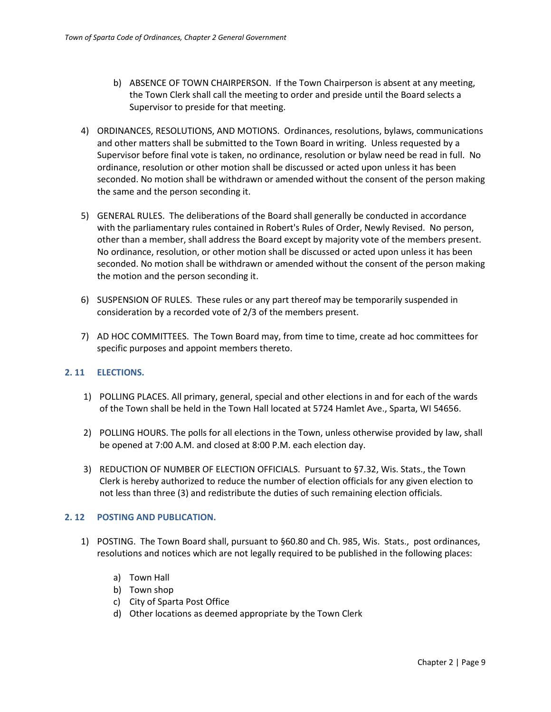- b) ABSENCE OF TOWN CHAIRPERSON. If the Town Chairperson is absent at any meeting, the Town Clerk shall call the meeting to order and preside until the Board selects a Supervisor to preside for that meeting.
- 4) ORDINANCES, RESOLUTIONS, AND MOTIONS. Ordinances, resolutions, bylaws, communications and other matters shall be submitted to the Town Board in writing. Unless requested by a Supervisor before final vote is taken, no ordinance, resolution or bylaw need be read in full. No ordinance, resolution or other motion shall be discussed or acted upon unless it has been seconded. No motion shall be withdrawn or amended without the consent of the person making the same and the person seconding it.
- 5) GENERAL RULES. The deliberations of the Board shall generally be conducted in accordance with the parliamentary rules contained in Robert's Rules of Order, Newly Revised. No person, other than a member, shall address the Board except by majority vote of the members present. No ordinance, resolution, or other motion shall be discussed or acted upon unless it has been seconded. No motion shall be withdrawn or amended without the consent of the person making the motion and the person seconding it.
- 6) SUSPENSION OF RULES. These rules or any part thereof may be temporarily suspended in consideration by a recorded vote of 2/3 of the members present.
- 7) AD HOC COMMITTEES. The Town Board may, from time to time, create ad hoc committees for specific purposes and appoint members thereto.

## <span id="page-8-0"></span>**2. 11 ELECTIONS.**

- 1) POLLING PLACES. All primary, general, special and other elections in and for each of the wards of the Town shall be held in the Town Hall located at 5724 Hamlet Ave., Sparta, WI 54656.
- 2) POLLING HOURS. The polls for all elections in the Town, unless otherwise provided by law, shall be opened at 7:00 A.M. and closed at 8:00 P.M. each election day.
- 3) REDUCTION OF NUMBER OF ELECTION OFFICIALS. Pursuant to §7.32, Wis. Stats., the Town Clerk is hereby authorized to reduce the number of election officials for any given election to not less than three (3) and redistribute the duties of such remaining election officials.

#### <span id="page-8-1"></span>**2. 12 POSTING AND PUBLICATION.**

- 1) POSTING. The Town Board shall, pursuant to §60.80 and Ch. 985, Wis. Stats., post ordinances, resolutions and notices which are not legally required to be published in the following places:
	- a) Town Hall
	- b) Town shop
	- c) City of Sparta Post Office
	- d) Other locations as deemed appropriate by the Town Clerk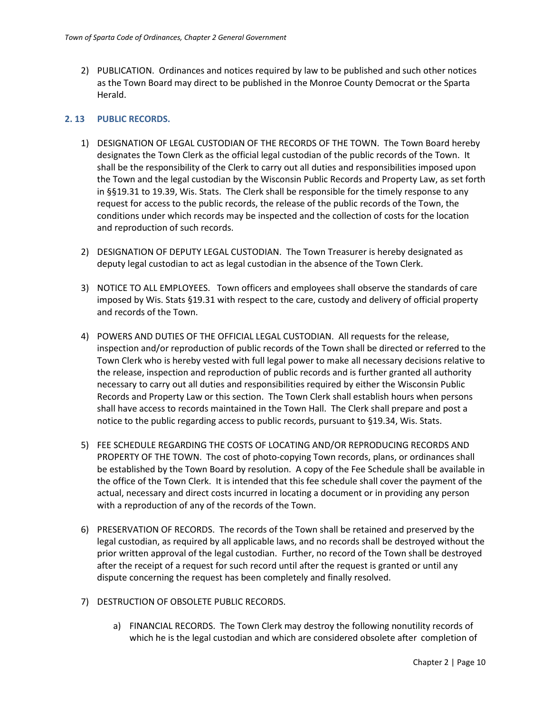2) PUBLICATION. Ordinances and notices required by law to be published and such other notices as the Town Board may direct to be published in the Monroe County Democrat or the Sparta Herald.

## <span id="page-9-0"></span>**2. 13 PUBLIC RECORDS.**

- 1) DESIGNATION OF LEGAL CUSTODIAN OF THE RECORDS OF THE TOWN. The Town Board hereby designates the Town Clerk as the official legal custodian of the public records of the Town. It shall be the responsibility of the Clerk to carry out all duties and responsibilities imposed upon the Town and the legal custodian by the Wisconsin Public Records and Property Law, as set forth in §§19.31 to 19.39, Wis. Stats. The Clerk shall be responsible for the timely response to any request for access to the public records, the release of the public records of the Town, the conditions under which records may be inspected and the collection of costs for the location and reproduction of such records.
- 2) DESIGNATION OF DEPUTY LEGAL CUSTODIAN. The Town Treasurer is hereby designated as deputy legal custodian to act as legal custodian in the absence of the Town Clerk.
- 3) NOTICE TO ALL EMPLOYEES. Town officers and employees shall observe the standards of care imposed by Wis. Stats §19.31 with respect to the care, custody and delivery of official property and records of the Town.
- 4) POWERS AND DUTIES OF THE OFFICIAL LEGAL CUSTODIAN. All requests for the release, inspection and/or reproduction of public records of the Town shall be directed or referred to the Town Clerk who is hereby vested with full legal power to make all necessary decisions relative to the release, inspection and reproduction of public records and is further granted all authority necessary to carry out all duties and responsibilities required by either the Wisconsin Public Records and Property Law or this section. The Town Clerk shall establish hours when persons shall have access to records maintained in the Town Hall. The Clerk shall prepare and post a notice to the public regarding access to public records, pursuant to §19.34, Wis. Stats.
- 5) FEE SCHEDULE REGARDING THE COSTS OF LOCATING AND/OR REPRODUCING RECORDS AND PROPERTY OF THE TOWN. The cost of photo-copying Town records, plans, or ordinances shall be established by the Town Board by resolution. A copy of the Fee Schedule shall be available in the office of the Town Clerk. It is intended that this fee schedule shall cover the payment of the actual, necessary and direct costs incurred in locating a document or in providing any person with a reproduction of any of the records of the Town.
- 6) PRESERVATION OF RECORDS. The records of the Town shall be retained and preserved by the legal custodian, as required by all applicable laws, and no records shall be destroyed without the prior written approval of the legal custodian. Further, no record of the Town shall be destroyed after the receipt of a request for such record until after the request is granted or until any dispute concerning the request has been completely and finally resolved.
- 7) DESTRUCTION OF OBSOLETE PUBLIC RECORDS.
	- a) FINANCIAL RECORDS. The Town Clerk may destroy the following nonutility records of which he is the legal custodian and which are considered obsolete after completion of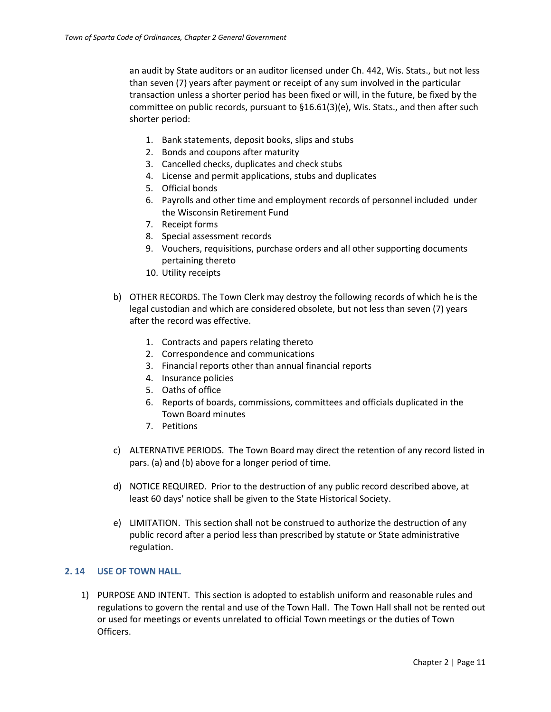an audit by State auditors or an auditor licensed under Ch. 442, Wis. Stats., but not less than seven (7) years after payment or receipt of any sum involved in the particular transaction unless a shorter period has been fixed or will, in the future, be fixed by the committee on public records, pursuant to §16.61(3)(e), Wis. Stats., and then after such shorter period:

- 1. Bank statements, deposit books, slips and stubs
- 2. Bonds and coupons after maturity
- 3. Cancelled checks, duplicates and check stubs
- 4. License and permit applications, stubs and duplicates
- 5. Official bonds
- 6. Payrolls and other time and employment records of personnel included under the Wisconsin Retirement Fund
- 7. Receipt forms
- 8. Special assessment records
- 9. Vouchers, requisitions, purchase orders and all other supporting documents pertaining thereto
- 10. Utility receipts
- b) OTHER RECORDS. The Town Clerk may destroy the following records of which he is the legal custodian and which are considered obsolete, but not less than seven (7) years after the record was effective.
	- 1. Contracts and papers relating thereto
	- 2. Correspondence and communications
	- 3. Financial reports other than annual financial reports
	- 4. Insurance policies
	- 5. Oaths of office
	- 6. Reports of boards, commissions, committees and officials duplicated in the Town Board minutes
	- 7. Petitions
- c) ALTERNATIVE PERIODS. The Town Board may direct the retention of any record listed in pars. (a) and (b) above for a longer period of time.
- d) NOTICE REQUIRED. Prior to the destruction of any public record described above, at least 60 days' notice shall be given to the State Historical Society.
- e) LIMITATION. This section shall not be construed to authorize the destruction of any public record after a period less than prescribed by statute or State administrative regulation.

## <span id="page-10-0"></span>**2. 14 USE OF TOWN HALL.**

1) PURPOSE AND INTENT. This section is adopted to establish uniform and reasonable rules and regulations to govern the rental and use of the Town Hall. The Town Hall shall not be rented out or used for meetings or events unrelated to official Town meetings or the duties of Town Officers.